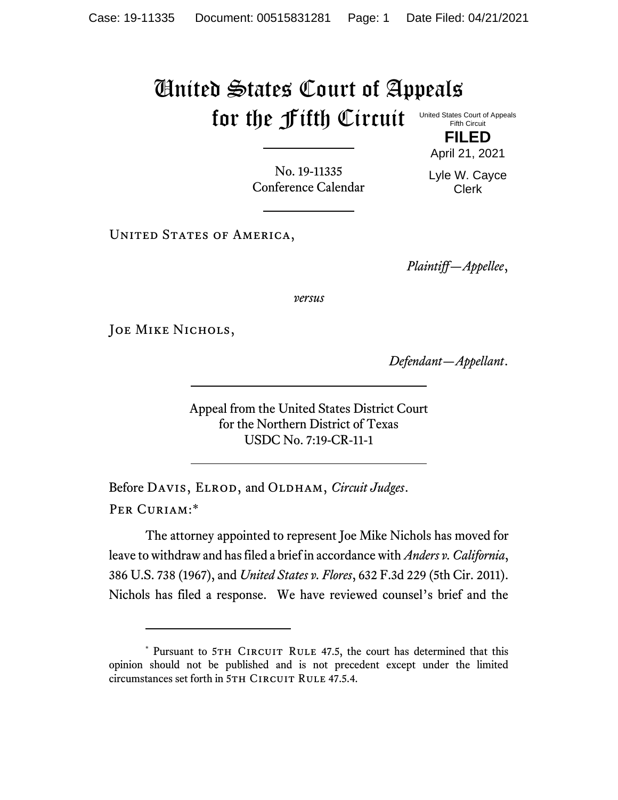## United States Court of Appeals for the Fifth Circuit United States Court of Appeals

Fifth Circuit **FILED**

No. 19-11335 Conference Calendar

April 21, 2021 Lyle W. Cayce Clerk

UNITED STATES OF AMERICA,

*Plaintiff—Appellee*,

*versus*

JOE MIKE NICHOLS,

*Defendant—Appellant*.

Appeal from the United States District Court for the Northern District of Texas USDC No. 7:19-CR-11-1

Before DAVIS, ELROD, and OLDHAM, *Circuit Judges*. Per Curiam:\*

The attorney appointed to represent Joe Mike Nichols has moved for leave to withdraw and has filed a brief in accordance with *Anders v. California*, 386 U.S. 738 (1967), and *United States v. Flores*, 632 F.3d 229 (5th Cir. 2011). Nichols has filed a response. We have reviewed counsel's brief and the

<sup>\*</sup> Pursuant to 5TH CIRCUIT RULE 47.5, the court has determined that this opinion should not be published and is not precedent except under the limited circumstances set forth in 5TH CIRCUIT RULE 47.5.4.